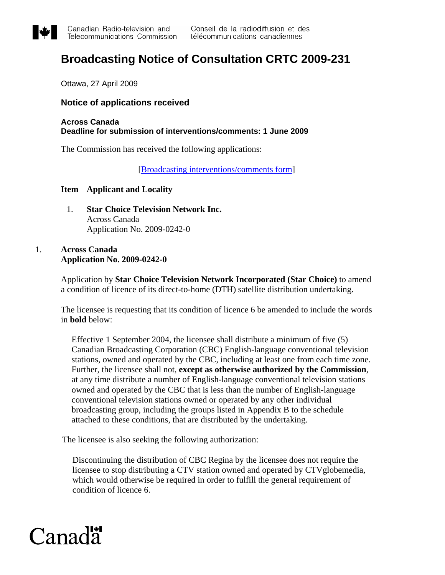

# **Broadcasting Notice of Consultation CRTC 2009-231**

Ottawa, 27 April 2009

## **Notice of applications received**

## **Across Canada Deadline for submission of interventions/comments: 1 June 2009**

The Commission has received the following applications:

[\[Broadcasting interventions/comments form](http://support.crtc.gc.ca/rapidscin/default.aspx?lang=en&applicant=)]

## **Item Applicant and Locality**

1. **Star Choice Television Network Inc.**  Across Canada Application No. 2009-0242-0

## 1. **Across Canada Application No. 2009-0242-0**

Application by **Star Choice Television Network Incorporated (Star Choice)** to amend a condition of licence of its direct-to-home (DTH) satellite distribution undertaking.

The licensee is requesting that its condition of licence 6 be amended to include the words in **bold** below:

Effective 1 September 2004, the licensee shall distribute a minimum of five (5) Canadian Broadcasting Corporation (CBC) English-language conventional television stations, owned and operated by the CBC, including at least one from each time zone. Further, the licensee shall not, **except as otherwise authorized by the Commission**, at any time distribute a number of English-language conventional television stations owned and operated by the CBC that is less than the number of English-language conventional television stations owned or operated by any other individual broadcasting group, including the groups listed in Appendix B to the schedule attached to these conditions, that are distributed by the undertaking.

The licensee is also seeking the following authorization:

Discontinuing the distribution of CBC Regina by the licensee does not require the licensee to stop distributing a CTV station owned and operated by CTVglobemedia, which would otherwise be required in order to fulfill the general requirement of condition of licence 6.

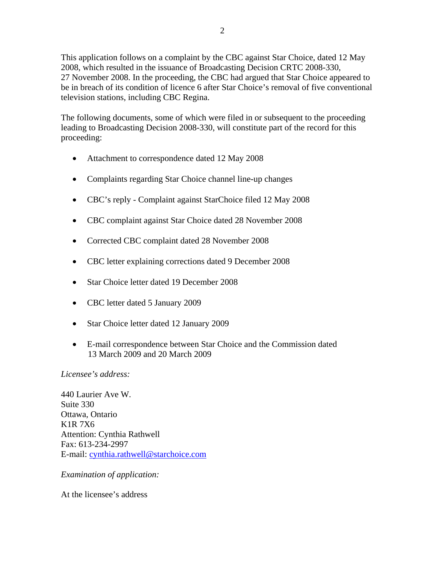This application follows on a complaint by the CBC against Star Choice, dated 12 May 2008, which resulted in the issuance of Broadcasting Decision CRTC 2008-330, 27 November 2008. In the proceeding, the CBC had argued that Star Choice appeared to be in breach of its condition of licence 6 after Star Choice's removal of five conventional television stations, including CBC Regina.

The following documents, some of which were filed in or subsequent to the proceeding leading to Broadcasting Decision 2008-330, will constitute part of the record for this proceeding:

- Attachment to correspondence dated 12 May 2008
- Complaints regarding Star Choice channel line-up changes
- CBC's reply Complaint against StarChoice filed 12 May 2008
- CBC complaint against Star Choice dated 28 November 2008
- Corrected CBC complaint dated 28 November 2008
- CBC letter explaining corrections dated 9 December 2008
- Star Choice letter dated 19 December 2008
- CBC letter dated 5 January 2009
- Star Choice letter dated 12 January 2009
- E-mail correspondence between Star Choice and the Commission dated 13 March 2009 and 20 March 2009

## *Licensee's address:*

440 Laurier Ave W. Suite 330 Ottawa, Ontario K1R 7X6 Attention: Cynthia Rathwell Fax: 613-234-2997 E-mail: [cynthia.rathwell@starchoice.com](mailto:cynthia.rathwell@starchoice.com) 

*Examination of application:*

At the licensee's address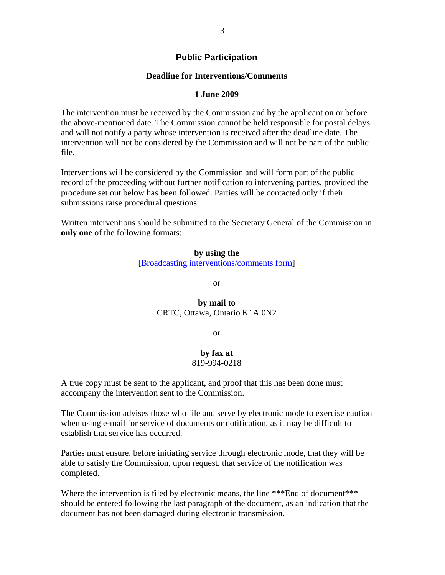## **Public Participation**

## **Deadline for Interventions/Comments**

#### **1 June 2009**

The intervention must be received by the Commission and by the applicant on or before the above-mentioned date. The Commission cannot be held responsible for postal delays and will not notify a party whose intervention is received after the deadline date. The intervention will not be considered by the Commission and will not be part of the public file.

Interventions will be considered by the Commission and will form part of the public record of the proceeding without further notification to intervening parties, provided the procedure set out below has been followed. Parties will be contacted only if their submissions raise procedural questions.

Written interventions should be submitted to the Secretary General of the Commission in **only one** of the following formats:

> **by using the**  [\[Broadcasting interventions/comments form](http://support.crtc.gc.ca/rapidscin/default.aspx?lang=en&applicant=)]

> > or

## **by mail to**  CRTC, Ottawa, Ontario K1A 0N2

or

## **by fax at**  819-994-0218

A true copy must be sent to the applicant, and proof that this has been done must accompany the intervention sent to the Commission.

The Commission advises those who file and serve by electronic mode to exercise caution when using e-mail for service of documents or notification, as it may be difficult to establish that service has occurred.

Parties must ensure, before initiating service through electronic mode, that they will be able to satisfy the Commission, upon request, that service of the notification was completed.

Where the intervention is filed by electronic means, the line \*\*\*End of document\*\*\* should be entered following the last paragraph of the document, as an indication that the document has not been damaged during electronic transmission.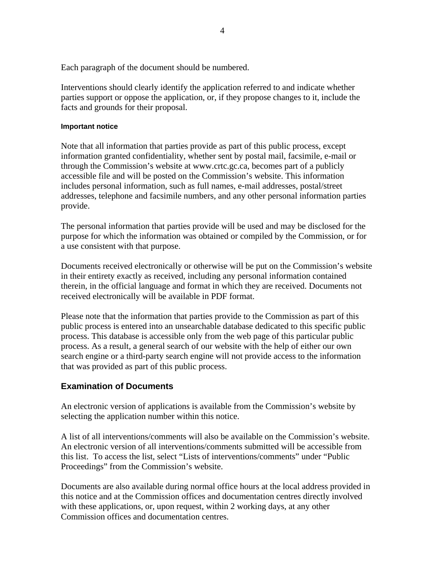Each paragraph of the document should be numbered.

Interventions should clearly identify the application referred to and indicate whether parties support or oppose the application, or, if they propose changes to it, include the facts and grounds for their proposal.

## **Important notice**

Note that all information that parties provide as part of this public process, except information granted confidentiality, whether sent by postal mail, facsimile, e-mail or through the Commission's website at www.crtc.gc.ca, becomes part of a publicly accessible file and will be posted on the Commission's website. This information includes personal information, such as full names, e-mail addresses, postal/street addresses, telephone and facsimile numbers, and any other personal information parties provide.

The personal information that parties provide will be used and may be disclosed for the purpose for which the information was obtained or compiled by the Commission, or for a use consistent with that purpose.

Documents received electronically or otherwise will be put on the Commission's website in their entirety exactly as received, including any personal information contained therein, in the official language and format in which they are received. Documents not received electronically will be available in PDF format.

Please note that the information that parties provide to the Commission as part of this public process is entered into an unsearchable database dedicated to this specific public process. This database is accessible only from the web page of this particular public process. As a result, a general search of our website with the help of either our own search engine or a third-party search engine will not provide access to the information that was provided as part of this public process.

## **Examination of Documents**

An electronic version of applications is available from the Commission's website by selecting the application number within this notice.

A list of all interventions/comments will also be available on the Commission's website. An electronic version of all interventions/comments submitted will be accessible from this list. To access the list, select "Lists of interventions/comments" under "Public Proceedings" from the Commission's website.

Documents are also available during normal office hours at the local address provided in this notice and at the Commission offices and documentation centres directly involved with these applications, or, upon request, within 2 working days, at any other Commission offices and documentation centres.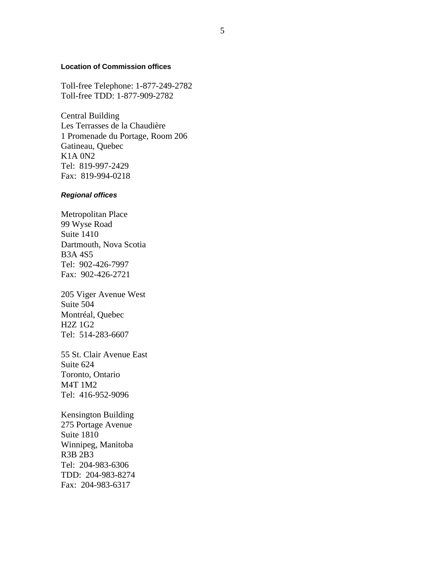#### **Location of Commission offices**

Toll-free Telephone: 1-877-249-2782 Toll-free TDD: 1-877-909-2782

Central Building Les Terrasses de la Chaudière 1 Promenade du Portage, Room 206 Gatineau, Quebec K1A 0N2 Tel: 819-997-2429 Fax: 819-994-0218

#### *Regional offices*

Metropolitan Place 99 Wyse Road Suite 1410 Dartmouth, Nova Scotia B3A 4S5 Tel: 902-426-7997 Fax: 902-426-2721

205 Viger Avenue West Suite 504 Montréal, Quebec H2Z 1G2 Tel: 514-283-6607

55 St. Clair Avenue East Suite 624 Toronto, Ontario M4T 1M2 Tel: 416-952-9096

Kensington Building 275 Portage Avenue Suite 1810 Winnipeg, Manitoba R3B 2B3 Tel: 204-983-6306 TDD: 204-983-8274 Fax: 204-983-6317